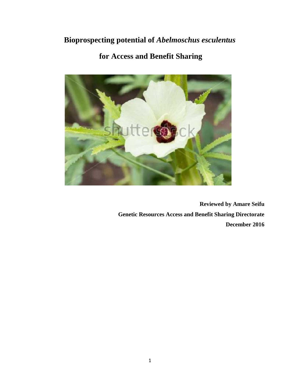# **Bioprospecting potential of** *Abelmoschus esculentus*

# **for Access and Benefit Sharing**



**Reviewed by Amare Seifu Genetic Resources Access and Benefit Sharing Directorate December 2016**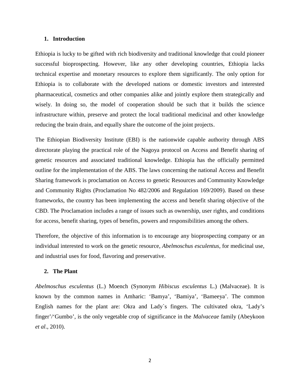### **1. Introduction**

Ethiopia is lucky to be gifted with rich biodiversity and traditional knowledge that could pioneer successful bioprospecting. However, like any other developing countries, Ethiopia lacks technical expertise and monetary resources to explore them significantly. The only option for Ethiopia is to collaborate with the developed nations or domestic investors and interested pharmaceutical, cosmetics and other companies alike and jointly explore them strategically and wisely. In doing so, the model of cooperation should be such that it builds the science infrastructure within, preserve and protect the local traditional medicinal and other knowledge reducing the brain drain, and equally share the outcome of the joint projects.

The Ethiopian Biodiversity Institute (EBI) is the nationwide capable authority through ABS directorate playing the practical role of the Nagoya protocol on Access and Benefit sharing of genetic resources and associated traditional knowledge. Ethiopia has the officially permitted outline for the implementation of the ABS. The laws concerning the national Access and Benefit Sharing framework is proclamation on Access to genetic Resources and Community Knowledge and Community Rights (Proclamation No 482/2006 and Regulation 169/2009). Based on these frameworks, the country has been implementing the access and benefit sharing objective of the CBD. The Proclamation includes a range of issues such as ownership, user rights, and conditions for access, benefit sharing, types of benefits, powers and responsibilities among the others.

Therefore, the objective of this information is to encourage any bioprospecting company or an individual interested to work on the genetic resource, *Abelmoschus esculentus,* for medicinal use, and industrial uses for food, flavoring and preservative.

#### **2. The Plant**

*Abelmoschus esculentus* (L.) Moench (Synonym *Hibiscus esculentus* L.) (Malvaceae). It is known by the common names in Amharic: 'Bamya', 'Bamiya', 'Bameeya'. The common English names for the plant are: Okra and Lady`s fingers. The cultivated okra, 'Lady's finger'/'Gumbo', is the only vegetable crop of significance in the *Malvaceae* family (Abeykoon *et al*., 2010).

2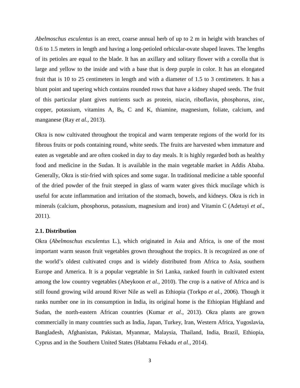*Abelmoschus esculentus* is an erect, coarse annual herb of up to 2 m in height with branches of 0.6 to 1.5 meters in length and having a long-petioled orbicular-ovate shaped leaves. The lengths of its petioles are equal to the blade. It has an axillary and solitary flower with a corolla that is large and yellow to the inside and with a base that is deep purple in color. It has an elongated fruit that is 10 to 25 centimeters in length and with a diameter of 1.5 to 3 centimeters. It has a blunt point and tapering which contains rounded rows that have a kidney shaped seeds. The fruit of this particular plant gives nutrients such as protein, niacin, riboflavin, phosphorus, zinc, copper, potassium, vitamins A,  $B_6$ , C and K, thiamine, magnesium, foliate, calcium, and manganese (Ray *et al.,* 2013).

Okra is now cultivated throughout the tropical and warm temperate regions of the world for its fibrous fruits or pods containing round, white seeds. The fruits are harvested when immature and eaten as vegetable and are often cooked in day to day meals. It is highly regarded both as healthy food and medicine in the Sudan. It is available in the main vegetable market in Addis Ababa. Generally, Okra is stir-fried with spices and some sugar. In traditional medicine a table spoonful of the dried powder of the fruit steeped in glass of warm water gives thick mucilage which is useful for acute inflammation and irritation of the stomach, bowels, and kidneys. Okra is rich in minerals (calcium, phosphorus, potassium, magnesium and iron) and Vitamin C (Adetuyi *et al*., 2011).

#### **2.1. Distribution**

Okra (*Abelmoschus esculentus* L*.*), which originated in Asia and Africa, is one of the most important warm season fruit vegetables grown throughout the tropics. It is recognized as one of the world's oldest cultivated crops and is widely distributed from Africa to Asia, southern Europe and America. It is a popular vegetable in Sri Lanka, ranked fourth in cultivated extent among the low country vegetables (Abeykoon *et al.*, 2010). The crop is a native of Africa and is still found growing wild around River Nile as well as Ethiopia (Torkpo *et al.,* 2006). Though it ranks number one in its consumption in India, its original home is the Ethiopian Highland and Sudan, the north-eastern African countries (Kumar *et al.*, 2013). Okra plants are grown commercially in many countries such as India, Japan, Turkey, Iran, Western Africa, Yugoslavia, Bangladesh, Afghanistan, Pakistan, Myanmar, Malaysia, Thailand, India, Brazil, Ethiopia, Cyprus and in the Southern United States (Habtamu Fekadu *et al.*, 2014).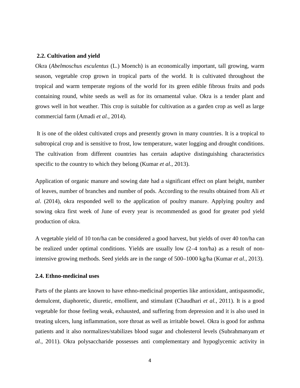#### **2.2. Cultivation and yield**

Okra (*Abelmoschus esculentus* (L.) Moench) is an economically important, tall growing, warm season, vegetable crop grown in tropical parts of the world. It is cultivated throughout the tropical and warm temperate regions of the world for its green edible fibrous fruits and pods containing round, white seeds as well as for its ornamental value. Okra is a tender plant and grows well in hot weather. This crop is suitable for cultivation as a garden crop as well as large commercial farm (Amadi *et al.,* 2014).

It is one of the oldest cultivated crops and presently grown in many countries. It is a tropical to subtropical crop and is sensitive to frost, low temperature, water logging and drought conditions. The cultivation from different countries has certain adaptive distinguishing characteristics specific to the country to which they belong (Kumar *et al.*, 2013).

Application of organic manure and sowing date had a significant effect on plant height, number of leaves, number of branches and number of pods. According to the results obtained from Ali *et al*. (2014), okra responded well to the application of poultry manure. Applying poultry and sowing okra first week of June of every year is recommended as good for greater pod yield production of okra.

A vegetable yield of 10 ton/ha can be considered a good harvest, but yields of over 40 ton/ha can be realized under optimal conditions. Yields are usually low (2–4 ton/ha) as a result of nonintensive growing methods. Seed yields are in the range of 500–1000 kg/ha (Kumar *et al.*, 2013).

# **2.4. Ethno-medicinal uses**

Parts of the plants are known to have ethno-medicinal properties like antioxidant, antispasmodic, demulcent, diaphoretic, diuretic, emollient, and stimulant (Chaudhari *et al.*, 2011). It is a good vegetable for those feeling weak, exhausted, and suffering from depression and it is also used in treating ulcers, lung inflammation, sore throat as well as irritable bowel. Okra is good for asthma patients and it also normalizes/stabilizes blood sugar and cholesterol levels (Subrahmanyam *et al.*, 2011). Okra polysaccharide possesses anti complementary and hypoglycemic activity in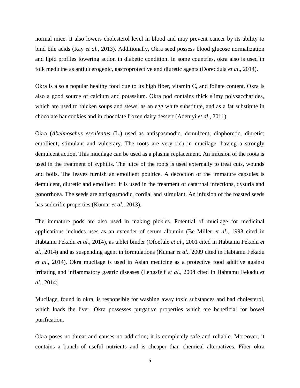normal mice. It also lowers cholesterol level in blood and may prevent cancer by its ability to bind bile acids (Ray *et al.*, 2013). Additionally, Okra seed possess blood glucose normalization and lipid profiles lowering action in diabetic condition. In some countries, okra also is used in folk medicine as antiulcerogenic, gastroprotective and diuretic agents (Doreddula *et al*., 2014).

Okra is also a popular healthy food due to its high fiber, vitamin C, and foliate content. Okra is also a good source of calcium and potassium. Okra pod contains thick slimy polysaccharides, which are used to thicken soups and stews, as an egg white substitute, and as a fat substitute in chocolate bar cookies and in chocolate frozen dairy dessert (Adetuyi *et al*., 2011).

Okra (*Abelmoschus esculentus* (L.) used as antispasmodic; demulcent; diaphoretic; diuretic; emollient; stimulant and vulnerary. The roots are very rich in mucilage, having a strongly demulcent action. This mucilage can be used as a plasma replacement. An infusion of the roots is used in the treatment of syphilis. The juice of the roots is used externally to treat cuts, wounds and boils. The leaves furnish an emollient poultice. A decoction of the immature capsules is demulcent, diuretic and emollient. It is used in the treatment of catarrhal infections, dysuria and gonorrhoea. The seeds are antispasmodic, cordial and stimulant. An infusion of the roasted seeds has sudorific properties (Kumar *et al.*, 2013).

The immature pods are also used in making pickles. Potential of mucilage for medicinal applications includes uses as an extender of serum albumin (Be Miller *et al*., 1993 cited in Habtamu Fekadu *et al.*, 2014), as tablet binder (Ofoefule *et al*., 2001 cited in Habtamu Fekadu *et al.*, 2014) and as suspending agent in formulations (Kumar *et al.*, 2009 cited in Habtamu Fekadu *et al.*, 2014). Okra mucilage is used in Asian medicine as a protective food additive against irritating and inflammatory gastric diseases (Lengsfelf *et al*., 2004 cited in Habtamu Fekadu *et al.*, 2014).

Mucilage, found in okra, is responsible for washing away toxic substances and bad cholesterol, which loads the liver. Okra possesses purgative properties which are beneficial for bowel purification.

Okra poses no threat and causes no addiction; it is completely safe and reliable. Moreover, it contains a bunch of useful nutrients and is cheaper than chemical alternatives. Fiber okra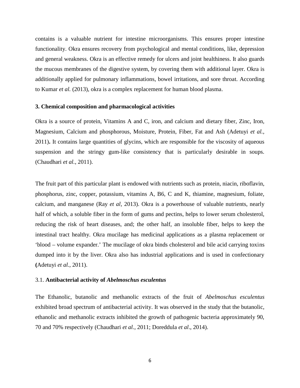contains is a valuable nutrient for intestine microorganisms. This ensures proper intestine functionality. Okra ensures recovery from psychological and mental conditions, like, depression and general weakness. Okra is an effective remedy for ulcers and joint healthiness. It also guards the mucous membranes of the digestive system, by covering them with additional layer. Okra is additionally applied for pulmonary inflammations, bowel irritations, and sore throat. According to Kumar *et al.* (2013), okra is a complex replacement for human blood plasma.

## **3. Chemical composition and pharmacological activities**

Okra is a source of protein, Vitamins A and C, iron, and calcium and dietary fiber, Zinc, Iron, Magnesium, Calcium and phosphorous, Moisture, Protein, Fiber, Fat and Ash (Adetuyi *et al.*, 2011)**.** It contains large quantities of glycins, which are responsible for the viscosity of aqueous suspension and the stringy gum-like consistency that is particularly desirable in soups. (Chaudhari *et al.*, 2011).

The fruit part of this particular plant is endowed with nutrients such as protein, niacin, riboflavin, phosphorus, zinc, copper, potassium, vitamins A, B6, C and K, thiamine, magnesium, foliate, calcium, and manganese (Ray *et al,* 2013). Okra is a powerhouse of valuable nutrients, nearly half of which, a soluble fiber in the form of gums and pectins, helps to lower serum cholesterol, reducing the risk of heart diseases, and; the other half, an insoluble fiber, helps to keep the intestinal tract healthy. Okra mucilage has medicinal applications as a plasma replacement or 'blood – volume expander.' The mucilage of okra binds cholesterol and bile acid carrying toxins dumped into it by the liver. Okra also has industrial applications and is used in confectionary **(**Adetuyi *et al.*, 2011).

## 3.1. **Antibacterial activity of** *Abelmoschus esculentus*

The Ethanolic, butanolic and methanolic extracts of the fruit of *Abelmoschus esculentus* exhibited broad spectrum of antibacterial activity. It was observed in the study that the butanolic, ethanolic and methanolic extracts inhibited the growth of pathogenic bacteria approximately 90, 70 and 70% respectively (Chaudhari *et al.*, 2011; Doreddula *et al*., 2014).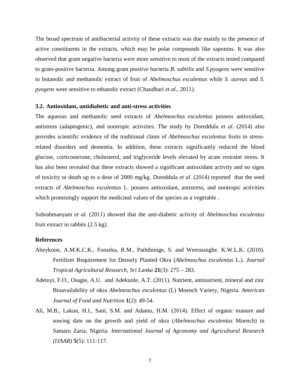The broad spectrum of antibacterial activity of these extracts was due mainly to the presence of active constituents in the extracts, which may be polar compounds like saponins. It was also observed that gram negative bacteria were more sensitive to most of the extracts tested compared to gram-positive bacteria. Among gram positive bacteria *B. subtilis* and *S.pyogens* were sensitive to butanolic and methanolic extract of fruit of *Abelmoschus esculentus* while *S. aureus* and *S. pyogens* were sensitive to ethanolic extract (Chaudhari *et al.*, 2011).

### **3.2. Antioxidant, antidiabetic and anti-stress activities**

The aqueous and methanolic seed extracts of *Abelmoschus esculentus* possess antioxidant, antistress (adaptogenic), and nootropic activities. The study by Doreddula *et al*. (2014) also provides scientific evidence of the traditional claim of *Abelmoschus esculentus* fruits in stressrelated disorders and dementia. In addition, these extracts significantly reduced the blood glucose, corticosterone, cholesterol, and triglyceride levels elevated by acute restraint stress. It has also been revealed that these extracts showed a significant antioxidant activity and no signs of toxicity or death up to a dose of 2000 mg/kg. Doreddula *et al*. (2014) reported that the seed extracts of *Abelmoschus esculentus* L. possess antioxidant, antistress, and nootropic activities which promisingly support the medicinal values of the species as a vegetable.

Subrahmanyam *et al*. (2011) showed that the anti-diabetic activity of *Abelmoschus esculentus* fruit extract in rabbits (2.5 kg).

# **References**

- Abeykoon, A.M.K.C.K., Fonseka, R.M., Paththinige, S. and Weerasinghe. K.W.L.K. (2010). Fertilizer Requirement for Densely Planted Okra (*Abelmoschus esculentus* L.). *Journal Tropical Agricultural Research, Sri Lanka* **21**(3): 275 – 283.
- Adetuyi, F.O., Osagie, A.U. and Adekunle, A.T. (2011). Nutrient, antinutrient, mineral and zinc Bioavailability of okra *Abelmoschus esculentus* (L) Moench Variety, Nigeria. *American Journal of Food and Nutrition* **1**(2): 49-54.
- Ali, M.B., Lakun, H.I., Sani, S.M. and Adamu, H.M. (2014). Effect of organic manure and sowing date on the growth and yield of okra (*Abelmoschus esculentus* Moench) in Samaru Zaria, Nigeria. *International Journal of Agronomy and Agricultural Research (IJAAR)* **5**(5): 111-117.